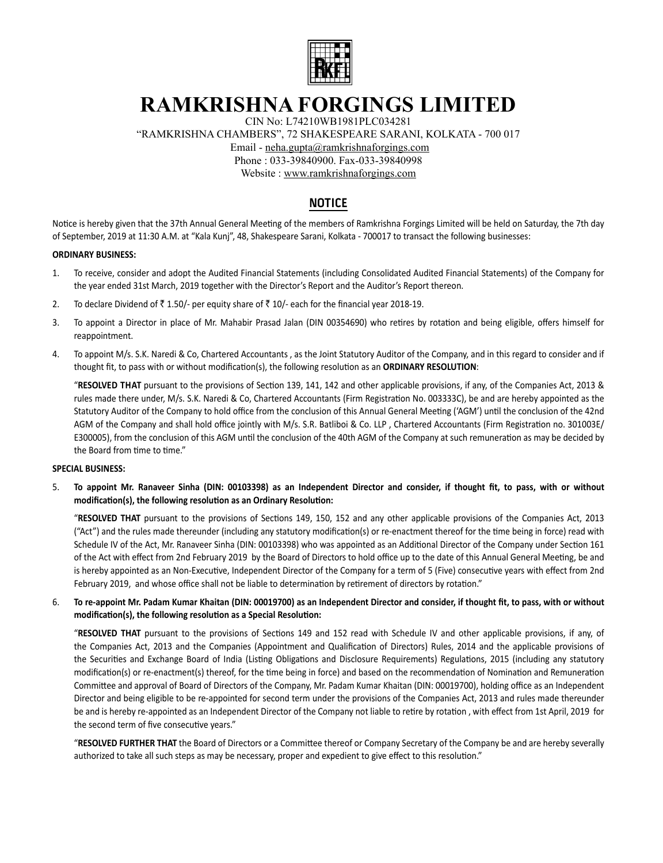

# **RAMKRISHNA FORGINGS LIMITED**

CIN No: L74210WB1981PLC034281

"RAMKRISHNA CHAMBERS", 72 SHAKESPEARE SARANI, KOLKATA - 700 017

Email - neha.gupta@ramkrishnaforgings.com

Phone : 033-39840900. Fax-033-39840998

Website : www.ramkrishnaforgings.com

## **NOTICE**

Notice is hereby given that the 37th Annual General Meeting of the members of Ramkrishna Forgings Limited will be held on Saturday, the 7th day of September, 2019 at 11:30 A.M. at "Kala Kunj", 48, Shakespeare Sarani, Kolkata - 700017 to transact the following businesses:

#### **ORDINARY BUSINESS:**

- 1. To receive, consider and adopt the Audited Financial Statements (including Consolidated Audited Financial Statements) of the Company for the year ended 31st March, 2019 together with the Director's Report and the Auditor's Report thereon.
- 2. To declare Dividend of  $\bar{z}$  1.50/- per equity share of  $\bar{z}$  10/- each for the financial year 2018-19.
- 3. To appoint a Director in place of Mr. Mahabir Prasad Jalan (DIN 00354690) who retires by rotation and being eligible, offers himself for reappointment.
- 4. To appoint M/s. S.K. Naredi & Co, Chartered Accountants , as the Joint Statutory Auditor of the Company, and in this regard to consider and if thought fit, to pass with or without modification(s), the following resolution as an **ORDINARY RESOLUTION**:

"RESOLVED THAT pursuant to the provisions of Section 139, 141, 142 and other applicable provisions, if any, of the Companies Act, 2013 & rules made there under, M/s. S.K. Naredi & Co, Chartered Accountants (Firm Registration No. 003333C), be and are hereby appointed as the Statutory Auditor of the Company to hold office from the conclusion of this Annual General Meeting ('AGM') until the conclusion of the 42nd AGM of the Company and shall hold office jointly with M/s. S.R. Batliboi & Co. LLP, Chartered Accountants (Firm Registration no. 301003E/ E300005), from the conclusion of this AGM until the conclusion of the 40th AGM of the Company at such remuneration as may be decided by the Board from time to time."

#### **SPECIAL BUSINESS:**

5. **To appoint Mr. Ranaveer Sinha (DIN: 00103398) as an Independent Director and consider, if thought fit, to pass, with or without**  modification(s), the following resolution as an Ordinary Resolution:

"RESOLVED THAT pursuant to the provisions of Sections 149, 150, 152 and any other applicable provisions of the Companies Act, 2013 ("Act") and the rules made thereunder (including any statutory modification(s) or re-enactment thereof for the time being in force) read with Schedule IV of the Act, Mr. Ranaveer Sinha (DIN: 00103398) who was appointed as an Additional Director of the Company under Section 161 of the Act with effect from 2nd February 2019 by the Board of Directors to hold office up to the date of this Annual General Meeting, be and is hereby appointed as an Non-Executive, Independent Director of the Company for a term of 5 (Five) consecutive years with effect from 2nd February 2019, and whose office shall not be liable to determination by retirement of directors by rotation."

### 6. **To re-appoint Mr. Padam Kumar Khaitan (DIN: 00019700) as an Independent Director and consider, if thought fit, to pass, with or without**  modification(s), the following resolution as a Special Resolution:

"RESOLVED THAT pursuant to the provisions of Sections 149 and 152 read with Schedule IV and other applicable provisions, if any, of the Companies Act, 2013 and the Companies (Appointment and Qualification of Directors) Rules, 2014 and the applicable provisions of the Securities and Exchange Board of India (Listing Obligations and Disclosure Requirements) Regulations, 2015 (including any statutory modification(s) or re-enactment(s) thereof, for the time being in force) and based on the recommendation of Nomination and Remuneration Committee and approval of Board of Directors of the Company, Mr. Padam Kumar Khaitan (DIN: 00019700), holding office as an Independent Director and being eligible to be re-appointed for second term under the provisions of the Companies Act, 2013 and rules made thereunder be and is hereby re-appointed as an Independent Director of the Company not liable to retire by rotation, with effect from 1st April, 2019 for the second term of five consecutive years."

"RESOLVED FURTHER THAT the Board of Directors or a Committee thereof or Company Secretary of the Company be and are hereby severally authorized to take all such steps as may be necessary, proper and expedient to give effect to this resolution."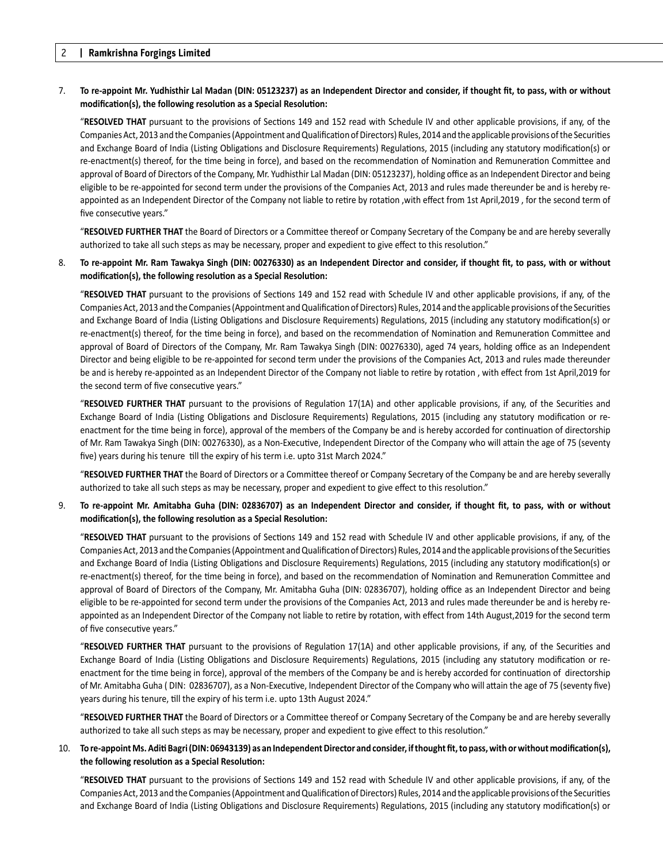#### 7. **To re-appoint Mr. Yudhisthir Lal Madan (DIN: 05123237) as an Independent Director and consider, if thought fit, to pass, with or without**  modification(s), the following resolution as a Special Resolution:

"RESOLVED THAT pursuant to the provisions of Sections 149 and 152 read with Schedule IV and other applicable provisions, if any, of the Companies Act, 2013 and the Companies (Appointment and Qualification of Directors) Rules, 2014 and the applicable provisions of the Securities and Exchange Board of India (Listing Obligations and Disclosure Requirements) Regulations, 2015 (including any statutory modification(s) or re-enactment(s) thereof, for the time being in force), and based on the recommendation of Nomination and Remuneration Committee and approval of Board of Directors of the Company, Mr. Yudhisthir Lal Madan (DIN: 05123237), holding office as an Independent Director and being eligible to be re-appointed for second term under the provisions of the Companies Act, 2013 and rules made thereunder be and is hereby reappointed as an Independent Director of the Company not liable to retire by rotation ,with effect from 1st April,2019, for the second term of five consecutive years."

"RESOLVED FURTHER THAT the Board of Directors or a Committee thereof or Company Secretary of the Company be and are hereby severally authorized to take all such steps as may be necessary, proper and expedient to give effect to this resolution."

#### 8. **To re-appoint Mr. Ram Tawakya Singh (DIN: 00276330) as an Independent Director and consider, if thought fit, to pass, with or without**  modification(s), the following resolution as a Special Resolution:

"RESOLVED THAT pursuant to the provisions of Sections 149 and 152 read with Schedule IV and other applicable provisions, if any, of the Companies Act, 2013 and the Companies (Appointment and Qualification of Directors) Rules, 2014 and the applicable provisions of the Securities and Exchange Board of India (Listing Obligations and Disclosure Requirements) Regulations, 2015 (including any statutory modification(s) or re-enactment(s) thereof, for the time being in force), and based on the recommendation of Nomination and Remuneration Committee and approval of Board of Directors of the Company, Mr. Ram Tawakya Singh (DIN: 00276330), aged 74 years, holding office as an Independent Director and being eligible to be re-appointed for second term under the provisions of the Companies Act, 2013 and rules made thereunder be and is hereby re-appointed as an Independent Director of the Company not liable to retire by rotation, with effect from 1st April,2019 for the second term of five consecutive years."

"RESOLVED FURTHER THAT pursuant to the provisions of Regulation 17(1A) and other applicable provisions, if any, of the Securities and Exchange Board of India (Listing Obligations and Disclosure Requirements) Regulations, 2015 (including any statutory modification or reenactment for the time being in force), approval of the members of the Company be and is hereby accorded for continuation of directorship of Mr. Ram Tawakya Singh (DIN: 00276330), as a Non-Executive, Independent Director of the Company who will attain the age of 75 (seventy five) years during his tenure till the expiry of his term i.e. upto 31st March 2024."

"RESOLVED FURTHER THAT the Board of Directors or a Committee thereof or Company Secretary of the Company be and are hereby severally authorized to take all such steps as may be necessary, proper and expedient to give effect to this resolution."

#### 9. **To re-appoint Mr. Amitabha Guha (DIN: 02836707) as an Independent Director and consider, if thought fit, to pass, with or without**  modification(s), the following resolution as a Special Resolution:

"RESOLVED THAT pursuant to the provisions of Sections 149 and 152 read with Schedule IV and other applicable provisions, if any, of the Companies Act, 2013 and the Companies (Appointment and Qualification of Directors) Rules, 2014 and the applicable provisions of the Securities and Exchange Board of India (Listing Obligations and Disclosure Requirements) Regulations, 2015 (including any statutory modification(s) or re-enactment(s) thereof, for the time being in force), and based on the recommendation of Nomination and Remuneration Committee and approval of Board of Directors of the Company, Mr. Amitabha Guha (DIN: 02836707), holding office as an Independent Director and being eligible to be re-appointed for second term under the provisions of the Companies Act, 2013 and rules made thereunder be and is hereby reappointed as an Independent Director of the Company not liable to retire by rotation, with effect from 14th August,2019 for the second term of five consecutive years."

"RESOLVED FURTHER THAT pursuant to the provisions of Regulation 17(1A) and other applicable provisions, if any, of the Securities and Exchange Board of India (Listing Obligations and Disclosure Requirements) Regulations, 2015 (including any statutory modification or reenactment for the time being in force), approval of the members of the Company be and is hereby accorded for continuation of directorship of Mr. Amitabha Guha (DIN: 02836707), as a Non-Executive, Independent Director of the Company who will attain the age of 75 (seventy five) years during his tenure, till the expiry of his term i.e. upto 13th August 2024."

"RESOLVED FURTHER THAT the Board of Directors or a Committee thereof or Company Secretary of the Company be and are hereby severally authorized to take all such steps as may be necessary, proper and expedient to give effect to this resolution."

#### 10. To re-appoint Ms. Aditi Bagri (DIN: 06943139) as an Independent Director and consider, if thought fit, to pass, with or without modification(s), the following resolution as a Special Resolution:

"RESOLVED THAT pursuant to the provisions of Sections 149 and 152 read with Schedule IV and other applicable provisions, if any, of the Companies Act, 2013 and the Companies (Appointment and Qualification of Directors) Rules, 2014 and the applicable provisions of the Securities and Exchange Board of India (Listing Obligations and Disclosure Requirements) Regulations, 2015 (including any statutory modification(s) or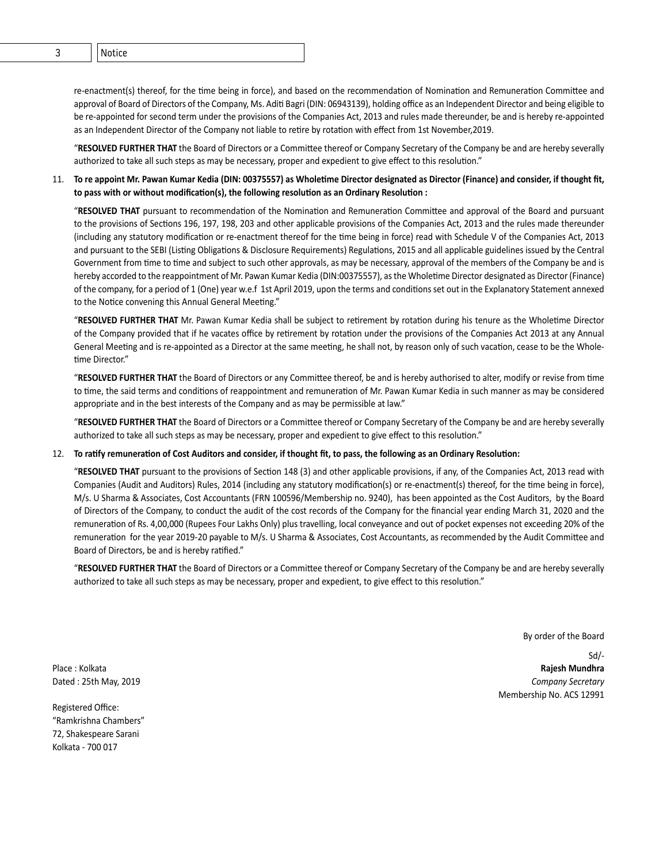re-enactment(s) thereof, for the time being in force), and based on the recommendation of Nomination and Remuneration Committee and approval of Board of Directors of the Company, Ms. Aditi Bagri (DIN: 06943139), holding office as an Independent Director and being eligible to be re-appointed for second term under the provisions of the Companies Act, 2013 and rules made thereunder, be and is hereby re-appointed as an Independent Director of the Company not liable to retire by rotation with effect from 1st November, 2019.

"RESOLVED FURTHER THAT the Board of Directors or a Committee thereof or Company Secretary of the Company be and are hereby severally authorized to take all such steps as may be necessary, proper and expedient to give effect to this resolution."

#### 11. To re appoint Mr. Pawan Kumar Kedia (DIN: 00375557) as Wholetime Director designated as Director (Finance) and consider, if thought fit, to pass with or without modification(s), the following resolution as an Ordinary Resolution :

"RESOLVED THAT pursuant to recommendation of the Nomination and Remuneration Committee and approval of the Board and pursuant to the provisions of Sections 196, 197, 198, 203 and other applicable provisions of the Companies Act, 2013 and the rules made thereunder (including any statutory modification or re-enactment thereof for the time being in force) read with Schedule V of the Companies Act, 2013 and pursuant to the SEBI (Listing Obligations & Disclosure Requirements) Regulations, 2015 and all applicable guidelines issued by the Central Government from time to time and subject to such other approvals, as may be necessary, approval of the members of the Company be and is hereby accorded to the reappointment of Mr. Pawan Kumar Kedia (DIN:00375557), as the Wholetime Director designated as Director (Finance) of the company, for a period of 1 (One) year w.e.f 1st April 2019, upon the terms and conditions set out in the Explanatory Statement annexed to the Notice convening this Annual General Meeting."

"RESOLVED FURTHER THAT Mr. Pawan Kumar Kedia shall be subject to retirement by rotation during his tenure as the Wholetime Director of the Company provided that if he vacates office by retirement by rotation under the provisions of the Companies Act 2013 at any Annual General Meeting and is re-appointed as a Director at the same meeting, he shall not, by reason only of such vacation, cease to be the Wholetime Director."

"RESOLVED FURTHER THAT the Board of Directors or any Committee thereof, be and is hereby authorised to alter, modify or revise from time to time, the said terms and conditions of reappointment and remuneration of Mr. Pawan Kumar Kedia in such manner as may be considered appropriate and in the best interests of the Company and as may be permissible at law."

"RESOLVED FURTHER THAT the Board of Directors or a Committee thereof or Company Secretary of the Company be and are hereby severally authorized to take all such steps as may be necessary, proper and expedient to give effect to this resolution."

#### 12. To ratify remuneration of Cost Auditors and consider, if thought fit, to pass, the following as an Ordinary Resolution:

"RESOLVED THAT pursuant to the provisions of Section 148 (3) and other applicable provisions, if any, of the Companies Act, 2013 read with Companies (Audit and Auditors) Rules, 2014 (including any statutory modification(s) or re-enactment(s) thereof, for the time being in force), M/s. U Sharma & Associates, Cost Accountants (FRN 100596/Membership no. 9240), has been appointed as the Cost Auditors, by the Board of Directors of the Company, to conduct the audit of the cost records of the Company for the financial year ending March 31, 2020 and the remuneration of Rs. 4,00,000 (Rupees Four Lakhs Only) plus travelling, local conveyance and out of pocket expenses not exceeding 20% of the remuneration for the year 2019-20 payable to M/s. U Sharma & Associates, Cost Accountants, as recommended by the Audit Committee and Board of Directors, be and is hereby ratified."

"RESOLVED FURTHER THAT the Board of Directors or a Committee thereof or Company Secretary of the Company be and are hereby severally authorized to take all such steps as may be necessary, proper and expedient, to give effect to this resolution."

By order of the Board

Sd/- Place : Kolkata **Rajesh Mundhra** Dated : 25th May, 2019 *Company Secretary* Membership No. ACS 12991

Registered Office: "Ramkrishna Chambers" 72, Shakespeare Sarani Kolkata - 700 017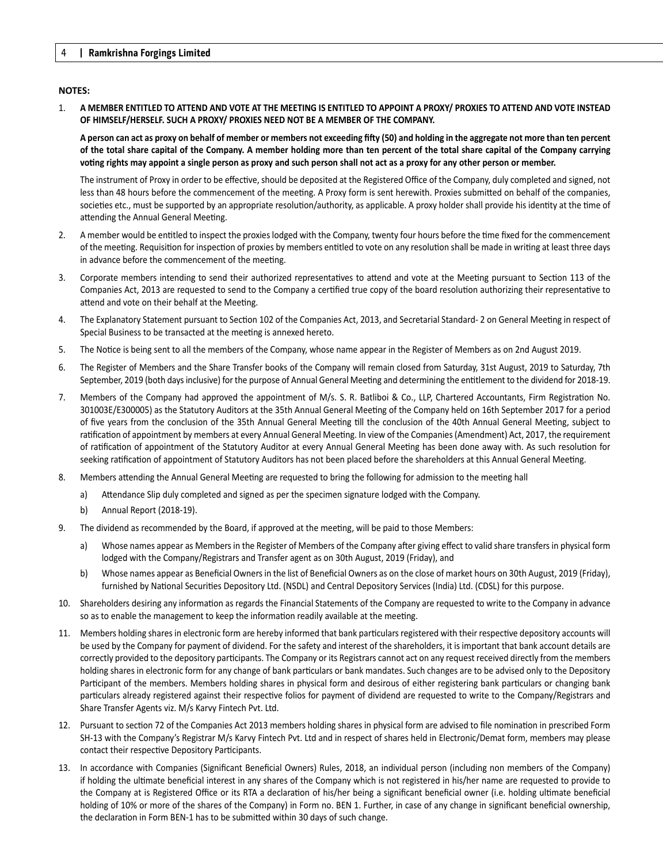#### **NOTES:**

1. **A MEMBER ENTITLED TO ATTEND AND VOTE AT THE MEETING IS ENTITLED TO APPOINT A PROXY/ PROXIES TO ATTEND AND VOTE INSTEAD OF HIMSELF/HERSELF. SUCH A PROXY/ PROXIES NEED NOT BE A MEMBER OF THE COMPANY.** 

A person can act as proxy on behalf of member or members not exceeding fifty (50) and holding in the aggregate not more than ten percent **of the total share capital of the Company. A member holding more than ten percent of the total share capital of the Company carrying**  voting rights may appoint a single person as proxy and such person shall not act as a proxy for any other person or member.

The instrument of Proxy in order to be effective, should be deposited at the Registered Office of the Company, duly completed and signed, not less than 48 hours before the commencement of the meeting. A Proxy form is sent herewith. Proxies submitted on behalf of the companies, societies etc., must be supported by an appropriate resolution/authority, as applicable. A proxy holder shall provide his identity at the time of attending the Annual General Meeting.

- 2. A member would be entitled to inspect the proxies lodged with the Company, twenty four hours before the time fixed for the commencement of the meeting. Requisition for inspection of proxies by members entitled to vote on any resolution shall be made in writing at least three days in advance before the commencement of the meeting.
- 3. Corporate members intending to send their authorized representatives to attend and vote at the Meeting pursuant to Section 113 of the Companies Act, 2013 are requested to send to the Company a certified true copy of the board resolution authorizing their representative to attend and vote on their behalf at the Meeting.
- 4. The Explanatory Statement pursuant to Section 102 of the Companies Act, 2013, and Secretarial Standard- 2 on General Meeting in respect of Special Business to be transacted at the meeting is annexed hereto.
- 5. The Notice is being sent to all the members of the Company, whose name appear in the Register of Members as on 2nd August 2019.
- 6. The Register of Members and the Share Transfer books of the Company will remain closed from Saturday, 31st August, 2019 to Saturday, 7th September, 2019 (both days inclusive) for the purpose of Annual General Meeting and determining the entitlement to the dividend for 2018-19.
- 7. Members of the Company had approved the appointment of M/s. S. R. Batliboi & Co., LLP, Chartered Accountants, Firm Registration No. 301003E/E300005) as the Statutory Auditors at the 35th Annual General Meeting of the Company held on 16th September 2017 for a period of five years from the conclusion of the 35th Annual General Meeting till the conclusion of the 40th Annual General Meeting, subject to ratification of appointment by members at every Annual General Meeting. In view of the Companies (Amendment) Act, 2017, the requirement of ratification of appointment of the Statutory Auditor at every Annual General Meeting has been done away with. As such resolution for seeking ratification of appointment of Statutory Auditors has not been placed before the shareholders at this Annual General Meeting.
- 8. Members attending the Annual General Meeting are requested to bring the following for admission to the meeting hall
	- a) Attendance Slip duly completed and signed as per the specimen signature lodged with the Company.
	- b) Annual Report (2018-19).
- 9. The dividend as recommended by the Board, if approved at the meeting, will be paid to those Members:
	- a) Whose names appear as Members in the Register of Members of the Company after giving effect to valid share transfers in physical form lodged with the Company/Registrars and Transfer agent as on 30th August, 2019 (Friday), and
	- b) Whose names appear as Beneficial Owners in the list of Beneficial Owners as on the close of market hours on 30th August, 2019 (Friday), furnished by National Securities Depository Ltd. (NSDL) and Central Depository Services (India) Ltd. (CDSL) for this purpose.
- 10. Shareholders desiring any information as regards the Financial Statements of the Company are requested to write to the Company in advance so as to enable the management to keep the information readily available at the meeting.
- 11. Members holding shares in electronic form are hereby informed that bank particulars registered with their respective depository accounts will be used by the Company for payment of dividend. For the safety and interest of the shareholders, it is important that bank account details are correctly provided to the depository participants. The Company or its Registrars cannot act on any request received directly from the members holding shares in electronic form for any change of bank particulars or bank mandates. Such changes are to be advised only to the Depository Participant of the members. Members holding shares in physical form and desirous of either registering bank particulars or changing bank particulars already registered against their respective folios for payment of dividend are requested to write to the Company/Registrars and Share Transfer Agents viz. M/s Karvy Fintech Pvt. Ltd.
- 12. Pursuant to section 72 of the Companies Act 2013 members holding shares in physical form are advised to file nomination in prescribed Form SH-13 with the Company's Registrar M/s Karvy Fintech Pvt. Ltd and in respect of shares held in Electronic/Demat form, members may please contact their respective Depository Participants.
- 13. In accordance with Companies (Significant Beneficial Owners) Rules, 2018, an individual person (including non members of the Company) if holding the ultimate beneficial interest in any shares of the Company which is not registered in his/her name are requested to provide to the Company at is Registered Office or its RTA a declaration of his/her being a significant beneficial owner (i.e. holding ultimate beneficial holding of 10% or more of the shares of the Company) in Form no. BEN 1. Further, in case of any change in significant beneficial ownership, the declaration in Form BEN-1 has to be submitted within 30 days of such change.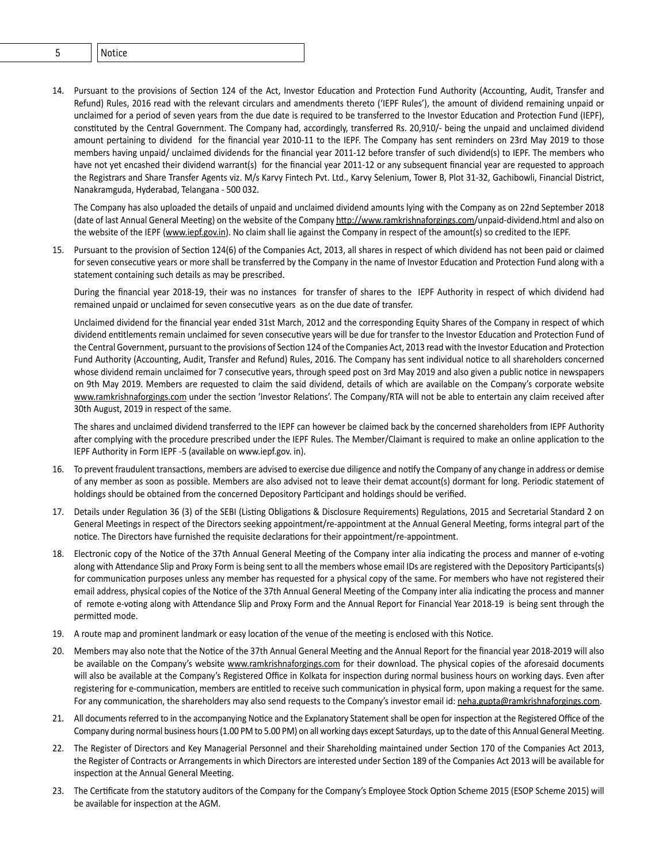- 5 Notice
- 14. Pursuant to the provisions of Section 124 of the Act, Investor Education and Protection Fund Authority (Accounting, Audit, Transfer and Refund) Rules, 2016 read with the relevant circulars and amendments thereto ('IEPF Rules'), the amount of dividend remaining unpaid or unclaimed for a period of seven years from the due date is required to be transferred to the Investor Education and Protection Fund (IEPF), constituted by the Central Government. The Company had, accordingly, transferred Rs. 20,910/- being the unpaid and unclaimed dividend amount pertaining to dividend for the financial year 2010-11 to the IEPF. The Company has sent reminders on 23rd May 2019 to those members having unpaid/ unclaimed dividends for the financial year 2011-12 before transfer of such dividend(s) to IEPF. The members who have not yet encashed their dividend warrant(s) for the financial year 2011-12 or any subsequent financial year are requested to approach the Registrars and Share Transfer Agents viz. M/s Karvy Fintech Pvt. Ltd., Karvy Selenium, Tower B, Plot 31-32, Gachibowli, Financial District, Nanakramguda, Hyderabad, Telangana - 500 032.

 The Company has also uploaded the details of unpaid and unclaimed dividend amounts lying with the Company as on 22nd September 2018 (date of last Annual General Meeting) on the website of the Company http://www.ramkrishnaforgings.com/unpaid-dividend.html and also on the website of the IEPF (www.iepf.gov.in). No claim shall lie against the Company in respect of the amount(s) so credited to the IEPF.

15. Pursuant to the provision of Section 124(6) of the Companies Act, 2013, all shares in respect of which dividend has not been paid or claimed for seven consecutive years or more shall be transferred by the Company in the name of Investor Education and Protection Fund along with a statement containing such details as may be prescribed.

 During the financial year 2018-19, their was no instances for transfer of shares to the IEPF Authority in respect of which dividend had remained unpaid or unclaimed for seven consecutive years as on the due date of transfer.

 Unclaimed dividend for the financial year ended 31st March, 2012 and the corresponding Equity Shares of the Company in respect of which dividend entitlements remain unclaimed for seven consecutive years will be due for transfer to the Investor Education and Protection Fund of the Central Government, pursuant to the provisions of Section 124 of the Companies Act, 2013 read with the Investor Education and Protection Fund Authority (Accounting, Audit, Transfer and Refund) Rules, 2016. The Company has sent individual notice to all shareholders concerned whose dividend remain unclaimed for 7 consecutive years, through speed post on 3rd May 2019 and also given a public notice in newspapers on 9th May 2019. Members are requested to claim the said dividend, details of which are available on the Company's corporate website www.ramkrishnaforgings.com under the section 'Investor Relations'. The Company/RTA will not be able to entertain any claim received after 30th August, 2019 in respect of the same.

 The shares and unclaimed dividend transferred to the IEPF can however be claimed back by the concerned shareholders from IEPF Authority after complying with the procedure prescribed under the IEPF Rules. The Member/Claimant is required to make an online application to the IEPF Authority in Form IEPF -5 (available on www.iepf.gov. in).

- 16. To prevent fraudulent transactions, members are advised to exercise due diligence and notify the Company of any change in address or demise of any member as soon as possible. Members are also advised not to leave their demat account(s) dormant for long. Periodic statement of holdings should be obtained from the concerned Depository Participant and holdings should be verified.
- 17. Details under Regulation 36 (3) of the SEBI (Listing Obligations & Disclosure Requirements) Regulations, 2015 and Secretarial Standard 2 on General Meetings in respect of the Directors seeking appointment/re-appointment at the Annual General Meeting, forms integral part of the notice. The Directors have furnished the requisite declarations for their appointment/re-appointment.
- 18. Electronic copy of the Notice of the 37th Annual General Meeting of the Company inter alia indicating the process and manner of e-voting along with Attendance Slip and Proxy Form is being sent to all the members whose email IDs are registered with the Depository Participants(s) for communication purposes unless any member has requested for a physical copy of the same. For members who have not registered their email address, physical copies of the Notice of the 37th Annual General Meeting of the Company inter alia indicating the process and manner of remote e-voting along with Attendance Slip and Proxy Form and the Annual Report for Financial Year 2018-19 is being sent through the permitted mode.
- 19. A route map and prominent landmark or easy location of the venue of the meeting is enclosed with this Notice.
- 20. Members may also note that the Notice of the 37th Annual General Meeting and the Annual Report for the financial year 2018-2019 will also be available on the Company's website www.ramkrishnaforgings.com for their download. The physical copies of the aforesaid documents will also be available at the Company's Registered Office in Kolkata for inspection during normal business hours on working days. Even after registering for e-communication, members are entitled to receive such communication in physical form, upon making a request for the same. For any communication, the shareholders may also send requests to the Company's investor email id: neha.gupta@ramkrishnaforgings.com.
- 21. All documents referred to in the accompanying Notice and the Explanatory Statement shall be open for inspection at the Registered Office of the Company during normal business hours (1.00 PM to 5.00 PM) on all working days except Saturdays, up to the date of this Annual General Meeting.
- 22. The Register of Directors and Key Managerial Personnel and their Shareholding maintained under Section 170 of the Companies Act 2013, the Register of Contracts or Arrangements in which Directors are interested under Section 189 of the Companies Act 2013 will be available for inspection at the Annual General Meeting.
- 23. The Certificate from the statutory auditors of the Company for the Company's Employee Stock Option Scheme 2015 (ESOP Scheme 2015) will be available for inspection at the AGM.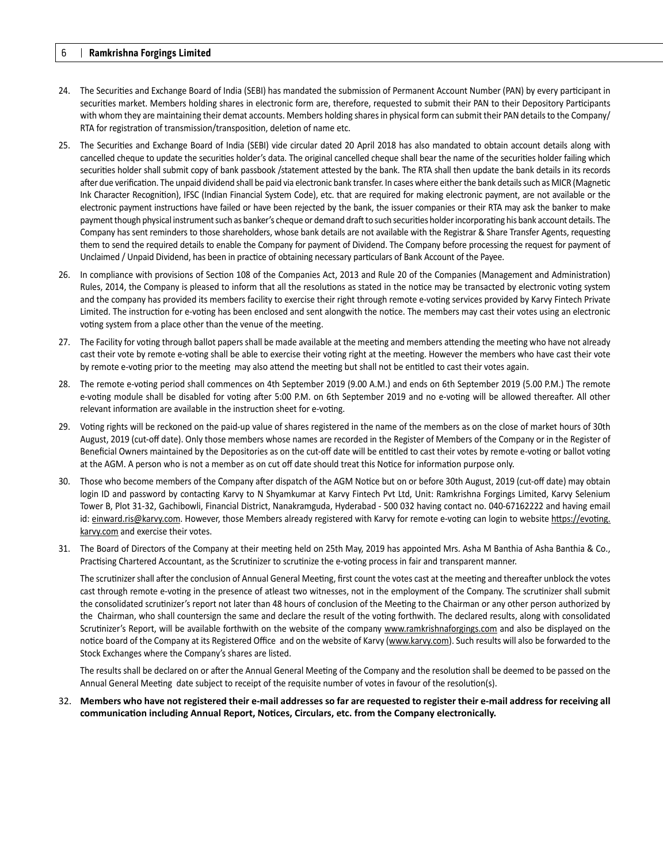- 24. The Securities and Exchange Board of India (SEBI) has mandated the submission of Permanent Account Number (PAN) by every participant in securities market. Members holding shares in electronic form are, therefore, requested to submit their PAN to their Depository Participants with whom they are maintaining their demat accounts. Members holding shares in physical form can submit their PAN details to the Company/ RTA for registration of transmission/transposition, deletion of name etc.
- 25. The Securities and Exchange Board of India (SEBI) vide circular dated 20 April 2018 has also mandated to obtain account details along with cancelled cheque to update the securities holder's data. The original cancelled cheque shall bear the name of the securities holder failing which securities holder shall submit copy of bank passbook /statement attested by the bank. The RTA shall then update the bank details in its records after due verification. The unpaid dividend shall be paid via electronic bank transfer. In cases where either the bank details such as MICR (Magnetic Ink Character Recognition), IFSC (Indian Financial System Code), etc. that are required for making electronic payment, are not available or the electronic payment instructions have failed or have been rejected by the bank, the issuer companies or their RTA may ask the banker to make payment though physical instrument such as banker's cheque or demand draft to such securities holder incorporating his bank account details. The Company has sent reminders to those shareholders, whose bank details are not available with the Registrar & Share Transfer Agents, requesting them to send the required details to enable the Company for payment of Dividend. The Company before processing the request for payment of Unclaimed / Unpaid Dividend, has been in practice of obtaining necessary particulars of Bank Account of the Payee.
- 26. In compliance with provisions of Section 108 of the Companies Act, 2013 and Rule 20 of the Companies (Management and Administration) Rules, 2014, the Company is pleased to inform that all the resolutions as stated in the notice may be transacted by electronic voting system and the company has provided its members facility to exercise their right through remote e-voting services provided by Karvy Fintech Private Limited. The instruction for e-voting has been enclosed and sent alongwith the notice. The members may cast their votes using an electronic voting system from a place other than the venue of the meeting.
- 27. The Facility for voting through ballot papers shall be made available at the meeting and members attending the meeting who have not already cast their vote by remote e-voting shall be able to exercise their voting right at the meeting. However the members who have cast their vote by remote e-voting prior to the meeting may also attend the meeting but shall not be entitled to cast their votes again.
- 28. The remote e-voting period shall commences on 4th September 2019 (9.00 A.M.) and ends on 6th September 2019 (5.00 P.M.) The remote e-voting module shall be disabled for voting after 5:00 P.M. on 6th September 2019 and no e-voting will be allowed thereafter. All other relevant information are available in the instruction sheet for e-voting.
- 29. Vong rights will be reckoned on the paid-up value of shares registered in the name of the members as on the close of market hours of 30th August, 2019 (cut-off date). Only those members whose names are recorded in the Register of Members of the Company or in the Register of Beneficial Owners maintained by the Depositories as on the cut-off date will be entitled to cast their votes by remote e-voting or ballot voting at the AGM. A person who is not a member as on cut off date should treat this Notice for information purpose only.
- 30. Those who become members of the Company after dispatch of the AGM Notice but on or before 30th August, 2019 (cut-off date) may obtain login ID and password by contacting Karvy to N Shyamkumar at Karvy Fintech Pvt Ltd, Unit: Ramkrishna Forgings Limited, Karvy Selenium Tower B, Plot 31-32, Gachibowli, Financial District, Nanakramguda, Hyderabad - 500 032 having contact no. 040-67162222 and having email id: einward.ris@karvy.com. However, those Members already registered with Karvy for remote e-voting can login to website https://evoting. karvy.com and exercise their votes.
- 31. The Board of Directors of the Company at their meeting held on 25th May, 2019 has appointed Mrs. Asha M Banthia of Asha Banthia & Co., Practising Chartered Accountant, as the Scrutinizer to scrutinize the e-voting process in fair and transparent manner.

The scrutinizer shall after the conclusion of Annual General Meeting, first count the votes cast at the meeting and thereafter unblock the votes cast through remote e-voting in the presence of atleast two witnesses, not in the employment of the Company. The scrutinizer shall submit the consolidated scrutinizer's report not later than 48 hours of conclusion of the Meeting to the Chairman or any other person authorized by the Chairman, who shall countersign the same and declare the result of the voting forthwith. The declared results, along with consolidated Scrutinizer's Report, will be available forthwith on the website of the company www.ramkrishnaforgings.com and also be displayed on the notice board of the Company at its Registered Office and on the website of Karvy (www.karvy.com). Such results will also be forwarded to the Stock Exchanges where the Company's shares are listed.

The results shall be declared on or after the Annual General Meeting of the Company and the resolution shall be deemed to be passed on the Annual General Meeting date subject to receipt of the requisite number of votes in favour of the resolution(s).

32. **Members who have not registered their e-mail addresses so far are requested to register their e-mail address for receiving all**  communication including Annual Report, Notices, Circulars, etc. from the Company electronically.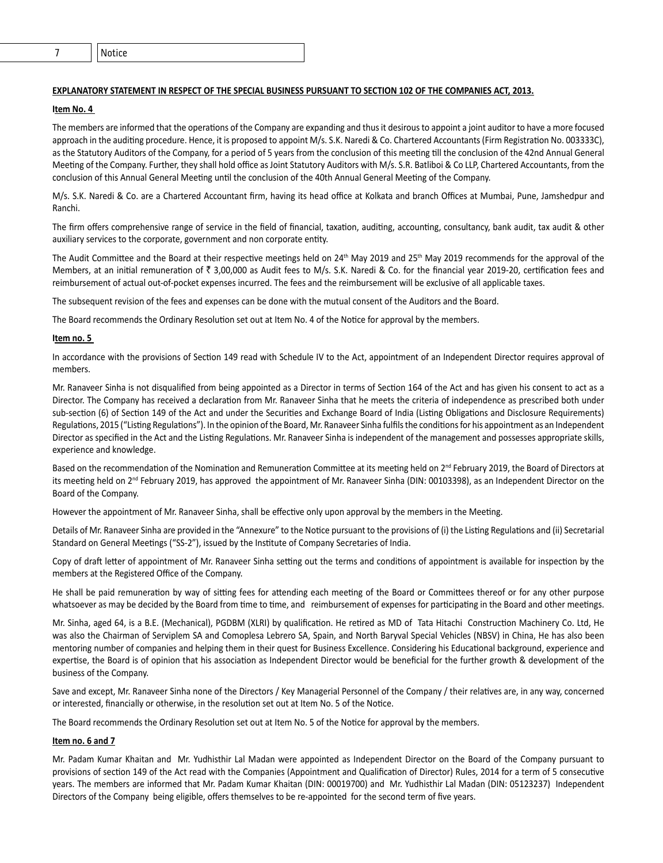#### **EXPLANATORY STATEMENT IN RESPECT OF THE SPECIAL BUSINESS PURSUANT TO SECTION 102 OF THE COMPANIES ACT, 2013.**

#### **Item No. 4**

The members are informed that the operations of the Company are expanding and thus it desirous to appoint a joint auditor to have a more focused approach in the auditing procedure. Hence, it is proposed to appoint M/s. S.K. Naredi & Co. Chartered Accountants (Firm Registration No. 003333C), as the Statutory Auditors of the Company, for a period of 5 years from the conclusion of this meeting till the conclusion of the 42nd Annual General Meeting of the Company. Further, they shall hold office as Joint Statutory Auditors with M/s. S.R. Batliboi & Co LLP, Chartered Accountants, from the conclusion of this Annual General Meeting until the conclusion of the 40th Annual General Meeting of the Company.

M/s. S.K. Naredi & Co. are a Chartered Accountant firm, having its head office at Kolkata and branch Offices at Mumbai, Pune, Jamshedpur and Ranchi.

The firm offers comprehensive range of service in the field of financial, taxation, auditing, accounting, consultancy, bank audit, tax audit & other auxiliary services to the corporate, government and non corporate entity.

The Audit Committee and the Board at their respective meetings held on  $24<sup>th</sup>$  May 2019 and  $25<sup>th</sup>$  May 2019 recommends for the approval of the Members, at an initial remuneration of  $\bar{\tau}$  3,00,000 as Audit fees to M/s. S.K. Naredi & Co. for the financial year 2019-20, certification fees and reimbursement of actual out-of-pocket expenses incurred. The fees and the reimbursement will be exclusive of all applicable taxes.

The subsequent revision of the fees and expenses can be done with the mutual consent of the Auditors and the Board.

The Board recommends the Ordinary Resolution set out at Item No. 4 of the Notice for approval by the members.

#### **Item no. 5**

In accordance with the provisions of Section 149 read with Schedule IV to the Act, appointment of an Independent Director requires approval of members.

Mr. Ranaveer Sinha is not disqualified from being appointed as a Director in terms of Section 164 of the Act and has given his consent to act as a Director. The Company has received a declaration from Mr. Ranaveer Sinha that he meets the criteria of independence as prescribed both under sub-section (6) of Section 149 of the Act and under the Securities and Exchange Board of India (Listing Obligations and Disclosure Requirements) Regulations, 2015 ("Listing Regulations"). In the opinion of the Board, Mr. Ranaveer Sinha fulfils the conditions for his appointment as an Independent Director as specified in the Act and the Listing Regulations. Mr. Ranaveer Sinha is independent of the management and possesses appropriate skills, experience and knowledge.

Based on the recommendation of the Nomination and Remuneration Committee at its meeting held on 2<sup>nd</sup> February 2019, the Board of Directors at its meeting held on  $2<sup>nd</sup>$  February 2019, has approved the appointment of Mr. Ranaveer Sinha (DIN: 00103398), as an Independent Director on the Board of the Company.

However the appointment of Mr. Ranaveer Sinha, shall be effective only upon approval by the members in the Meeting.

Details of Mr. Ranaveer Sinha are provided in the "Annexure" to the Notice pursuant to the provisions of (i) the Listing Regulations and (ii) Secretarial Standard on General Meetings ("SS-2"), issued by the Institute of Company Secretaries of India.

Copy of draft letter of appointment of Mr. Ranaveer Sinha setting out the terms and conditions of appointment is available for inspection by the members at the Registered Office of the Company.

He shall be paid remuneration by way of sitting fees for attending each meeting of the Board or Committees thereof or for any other purpose whatsoever as may be decided by the Board from time to time, and reimbursement of expenses for participating in the Board and other meetings.

Mr. Sinha, aged 64, is a B.E. (Mechanical), PGDBM (XLRI) by qualification. He retired as MD of Tata Hitachi Construction Machinery Co. Ltd, He was also the Chairman of Serviplem SA and Comoplesa Lebrero SA, Spain, and North Baryval Special Vehicles (NBSV) in China, He has also been mentoring number of companies and helping them in their quest for Business Excellence. Considering his Educational background, experience and expertise, the Board is of opinion that his association as Independent Director would be beneficial for the further growth & development of the business of the Company.

Save and except, Mr. Ranaveer Sinha none of the Directors / Key Managerial Personnel of the Company / their relatives are, in any way, concerned or interested, financially or otherwise, in the resolution set out at Item No. 5 of the Notice.

The Board recommends the Ordinary Resolution set out at Item No. 5 of the Notice for approval by the members.

#### **Item no. 6 and 7**

Mr. Padam Kumar Khaitan and Mr. Yudhisthir Lal Madan were appointed as Independent Director on the Board of the Company pursuant to provisions of section 149 of the Act read with the Companies (Appointment and Qualification of Director) Rules, 2014 for a term of 5 consecutive years. The members are informed that Mr. Padam Kumar Khaitan (DIN: 00019700) and Mr. Yudhisthir Lal Madan (DIN: 05123237) Independent Directors of the Company being eligible, offers themselves to be re-appointed for the second term of five years.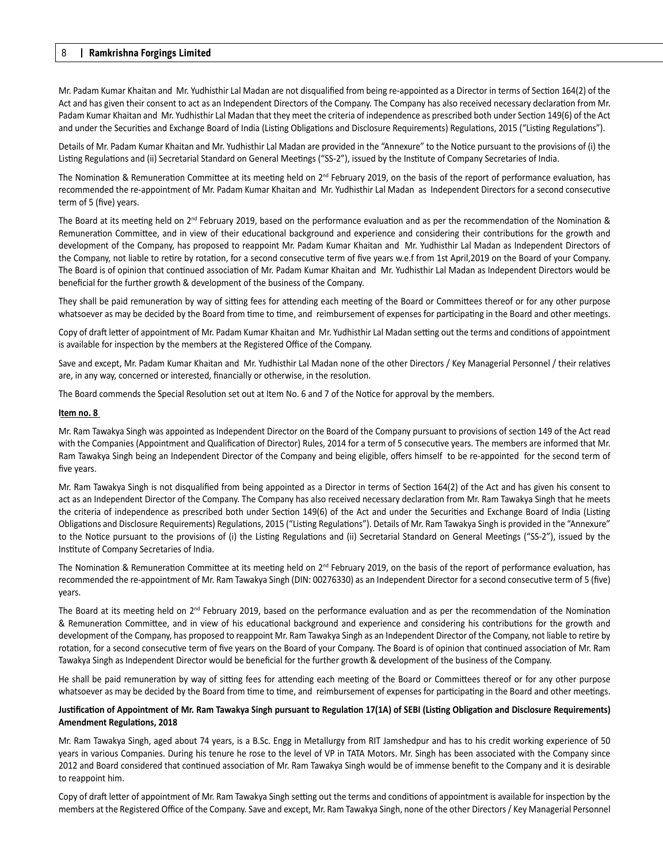Mr. Padam Kumar Khaitan and Mr. Yudhisthir Lal Madan are not disqualified from being re-appointed as a Director in terms of Section 164(2) of the Act and has given their consent to act as an Independent Directors of the Company. The Company has also received necessary declaration from Mr. Padam Kumar Khaitan and Mr. Yudhisthir Lal Madan that they meet the criteria of independence as prescribed both under Section 149(6) of the Act and under the Securities and Exchange Board of India (Listing Obligations and Disclosure Requirements) Regulations, 2015 ("Listing Regulations").

Details of Mr. Padam Kumar Khaitan and Mr. Yudhisthir Lal Madan are provided in the "Annexure" to the Notice pursuant to the provisions of (i) the Listing Regulations and (ii) Secretarial Standard on General Meetings ("SS-2"), issued by the Institute of Company Secretaries of India.

The Nomination & Remuneration Committee at its meeting held on  $2^{nd}$  February 2019, on the basis of the report of performance evaluation, has recommended the re-appointment of Mr. Padam Kumar Khaitan and Mr. Yudhisthir Lal Madan as Independent Directors for a second consecutive term of 5 (five) years.

The Board at its meeting held on 2<sup>nd</sup> February 2019, based on the performance evaluation and as per the recommendation of the Nomination & Remuneration Committee, and in view of their educational background and experience and considering their contributions for the growth and development of the Company, has proposed to reappoint Mr. Padam Kumar Khaitan and Mr. Yudhisthir Lal Madan as Independent Directors of the Company, not liable to retire by rotation, for a second consecutive term of five years w.e.f from 1st April,2019 on the Board of your Company. The Board is of opinion that continued association of Mr. Padam Kumar Khaitan and Mr. Yudhisthir Lal Madan as Independent Directors would be beneficial for the further growth & development of the business of the Company.

They shall be paid remuneration by way of sitting fees for attending each meeting of the Board or Committees thereof or for any other purpose whatsoever as may be decided by the Board from time to time, and reimbursement of expenses for participating in the Board and other meetings.

Copy of draft letter of appointment of Mr. Padam Kumar Khaitan and Mr. Yudhisthir Lal Madan setting out the terms and conditions of appointment is available for inspection by the members at the Registered Office of the Company.

Save and except, Mr. Padam Kumar Khaitan and Mr. Yudhisthir Lal Madan none of the other Directors / Key Managerial Personnel / their relatives are, in any way, concerned or interested, financially or otherwise, in the resolution.

The Board commends the Special Resolution set out at Item No. 6 and 7 of the Notice for approval by the members.

#### **Item no. 8**

Mr. Ram Tawakya Singh was appointed as Independent Director on the Board of the Company pursuant to provisions of section 149 of the Act read with the Companies (Appointment and Qualification of Director) Rules, 2014 for a term of 5 consecutive years. The members are informed that Mr. Ram Tawakya Singh being an Independent Director of the Company and being eligible, offers himself to be re-appointed for the second term of five years.

Mr. Ram Tawakya Singh is not disqualified from being appointed as a Director in terms of Section 164(2) of the Act and has given his consent to act as an Independent Director of the Company. The Company has also received necessary declaration from Mr. Ram Tawakya Singh that he meets the criteria of independence as prescribed both under Section 149(6) of the Act and under the Securities and Exchange Board of India (Listing Obligations and Disclosure Requirements) Regulations, 2015 ("Listing Regulations"). Details of Mr. Ram Tawakya Singh is provided in the "Annexure" to the Notice pursuant to the provisions of (i) the Listing Regulations and (ii) Secretarial Standard on General Meetings ("SS-2"), issued by the Institute of Company Secretaries of India.

The Nomination & Remuneration Committee at its meeting held on 2<sup>nd</sup> February 2019, on the basis of the report of performance evaluation, has recommended the re-appointment of Mr. Ram Tawakya Singh (DIN: 00276330) as an Independent Director for a second consecutive term of 5 (five) years.

The Board at its meeting held on 2<sup>nd</sup> February 2019, based on the performance evaluation and as per the recommendation of the Nomination & Remuneration Committee, and in view of his educational background and experience and considering his contributions for the growth and development of the Company, has proposed to reappoint Mr. Ram Tawakya Singh as an Independent Director of the Company, not liable to retire by rotation, for a second consecutive term of five years on the Board of your Company. The Board is of opinion that continued association of Mr. Ram Tawakya Singh as Independent Director would be beneficial for the further growth & development of the business of the Company.

He shall be paid remuneration by way of sitting fees for attending each meeting of the Board or Committees thereof or for any other purpose whatsoever as may be decided by the Board from time to time, and reimbursement of expenses for participating in the Board and other meetings.

#### Justification of Appointment of Mr. Ram Tawakya Singh pursuant to Regulation 17(1A) of SEBI (Listing Obligation and Disclosure Requirements) **Amendment Regulations, 2018**

Mr. Ram Tawakya Singh, aged about 74 years, is a B.Sc. Engg in Metallurgy from RIT Jamshedpur and has to his credit working experience of 50 years in various Companies. During his tenure he rose to the level of VP in TATA Motors. Mr. Singh has been associated with the Company since 2012 and Board considered that continued association of Mr. Ram Tawakya Singh would be of immense benefit to the Company and it is desirable to reappoint him.

Copy of draft letter of appointment of Mr. Ram Tawakya Singh setting out the terms and conditions of appointment is available for inspection by the members at the Registered Office of the Company. Save and except, Mr. Ram Tawakya Singh, none of the other Directors / Key Managerial Personnel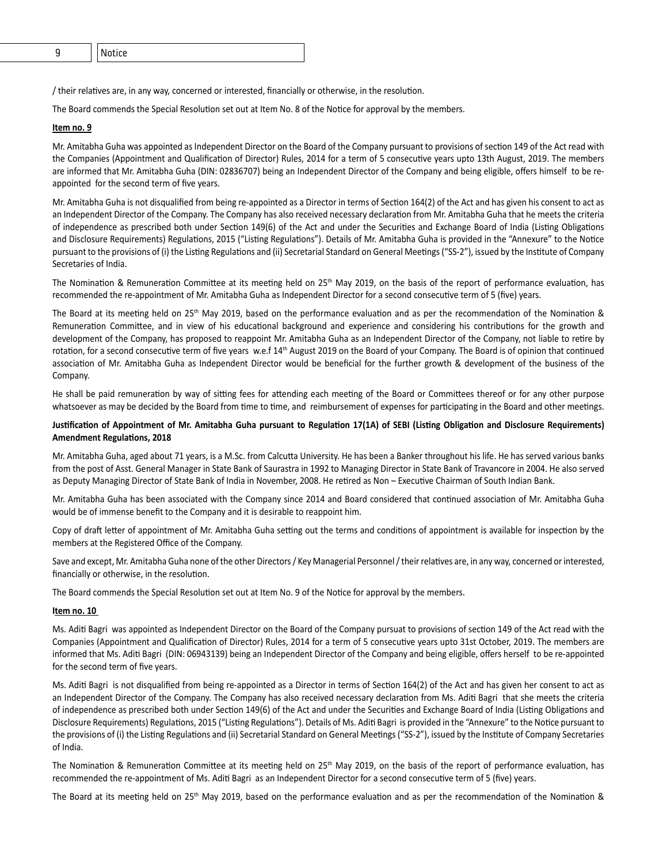/ their relatives are, in any way, concerned or interested, financially or otherwise, in the resolution.

The Board commends the Special Resolution set out at Item No. 8 of the Notice for approval by the members.

#### **Item no. 9**

Mr. Amitabha Guha was appointed as Independent Director on the Board of the Company pursuant to provisions of section 149 of the Act read with the Companies (Appointment and Qualification of Director) Rules, 2014 for a term of 5 consecutive years upto 13th August, 2019. The members are informed that Mr. Amitabha Guha (DIN: 02836707) being an Independent Director of the Company and being eligible, offers himself to be reappointed for the second term of five years.

Mr. Amitabha Guha is not disqualified from being re-appointed as a Director in terms of Section 164(2) of the Act and has given his consent to act as an Independent Director of the Company. The Company has also received necessary declaration from Mr. Amitabha Guha that he meets the criteria of independence as prescribed both under Section 149(6) of the Act and under the Securities and Exchange Board of India (Listing Obligations and Disclosure Requirements) Regulations, 2015 ("Listing Regulations"). Details of Mr. Amitabha Guha is provided in the "Annexure" to the Notice pursuant to the provisions of (i) the Listing Regulations and (ii) Secretarial Standard on General Meetings ("SS-2"), issued by the Institute of Company Secretaries of India.

The Nomination & Remuneration Committee at its meeting held on 25<sup>th</sup> May 2019, on the basis of the report of performance evaluation, has recommended the re-appointment of Mr. Amitabha Guha as Independent Director for a second consecutive term of 5 (five) years.

The Board at its meeting held on 25<sup>th</sup> May 2019, based on the performance evaluation and as per the recommendation of the Nomination & Remuneration Committee, and in view of his educational background and experience and considering his contributions for the growth and development of the Company, has proposed to reappoint Mr. Amitabha Guha as an Independent Director of the Company, not liable to retire by rotation, for a second consecutive term of five years w.e.f  $14<sup>th</sup>$  August 2019 on the Board of your Company. The Board is of opinion that continued association of Mr. Amitabha Guha as Independent Director would be beneficial for the further growth & development of the business of the Company.

He shall be paid remuneration by way of sitting fees for attending each meeting of the Board or Committees thereof or for any other purpose whatsoever as may be decided by the Board from time to time, and reimbursement of expenses for participating in the Board and other meetings.

#### Justification of Appointment of Mr. Amitabha Guha pursuant to Regulation 17(1A) of SEBI (Listing Obligation and Disclosure Requirements) **Amendment Regulations, 2018**

Mr. Amitabha Guha, aged about 71 years, is a M.Sc. from Calcutta University. He has been a Banker throughout his life. He has served various banks from the post of Asst. General Manager in State Bank of Saurastra in 1992 to Managing Director in State Bank of Travancore in 2004. He also served as Deputy Managing Director of State Bank of India in November, 2008. He retired as Non – Executive Chairman of South Indian Bank.

Mr. Amitabha Guha has been associated with the Company since 2014 and Board considered that continued association of Mr. Amitabha Guha would be of immense benefit to the Company and it is desirable to reappoint him.

Copy of draft letter of appointment of Mr. Amitabha Guha setting out the terms and conditions of appointment is available for inspection by the members at the Registered Office of the Company.

Save and except, Mr. Amitabha Guha none of the other Directors / Key Managerial Personnel / their relatives are, in any way, concerned or interested, financially or otherwise, in the resolution.

The Board commends the Special Resolution set out at Item No. 9 of the Notice for approval by the members.

#### **Item no. 10**

Ms. Aditi Bagri was appointed as Independent Director on the Board of the Company pursuat to provisions of section 149 of the Act read with the Companies (Appointment and Qualification of Director) Rules, 2014 for a term of 5 consecutive years upto 31st October, 2019. The members are informed that Ms. Aditi Bagri (DIN: 06943139) being an Independent Director of the Company and being eligible, offers herself to be re-appointed for the second term of five years.

Ms. Aditi Bagri is not disqualified from being re-appointed as a Director in terms of Section 164(2) of the Act and has given her consent to act as an Independent Director of the Company. The Company has also received necessary declaration from Ms. Aditi Bagri that she meets the criteria of independence as prescribed both under Section 149(6) of the Act and under the Securities and Exchange Board of India (Listing Obligations and Disclosure Requirements) Regulations, 2015 ("Listing Regulations"). Details of Ms. Aditi Bagri is provided in the "Annexure" to the Notice pursuant to the provisions of (i) the Listing Regulations and (ii) Secretarial Standard on General Meetings ("SS-2"), issued by the Institute of Company Secretaries of India.

The Nomination & Remuneration Committee at its meeting held on 25<sup>th</sup> May 2019, on the basis of the report of performance evaluation, has recommended the re-appointment of Ms. Aditi Bagri as an Independent Director for a second consecutive term of 5 (five) years.

The Board at its meeting held on 25<sup>th</sup> May 2019, based on the performance evaluation and as per the recommendation of the Nomination &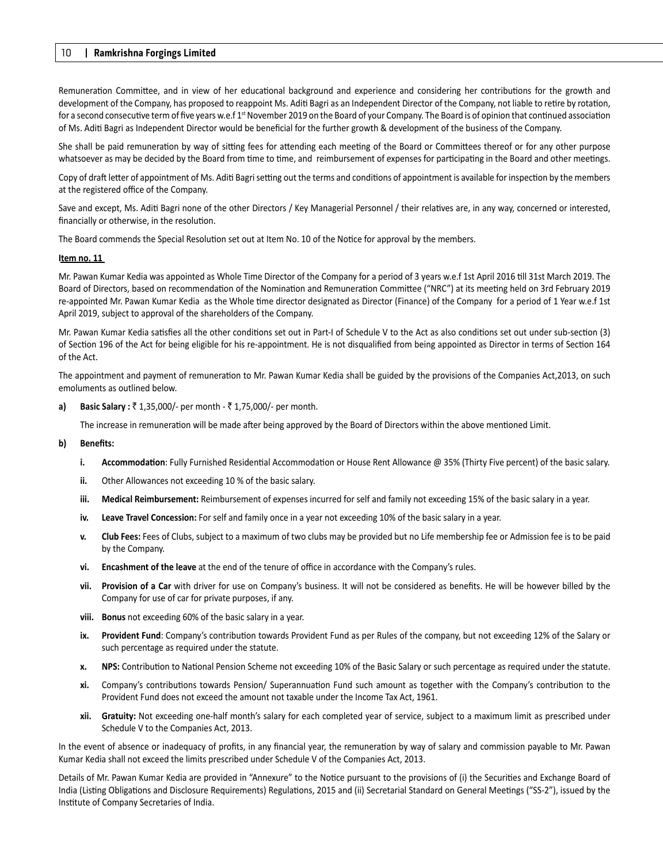Remuneration Committee, and in view of her educational background and experience and considering her contributions for the growth and development of the Company, has proposed to reappoint Ms. Aditi Bagri as an Independent Director of the Company, not liable to retire by rotation, for a second consecutive term of five years w.e.f 1<sup>st</sup> November 2019 on the Board of your Company. The Board is of opinion that continued association of Ms. Aditi Bagri as Independent Director would be beneficial for the further growth & development of the business of the Company.

She shall be paid remuneration by way of sitting fees for attending each meeting of the Board or Committees thereof or for any other purpose whatsoever as may be decided by the Board from time to time, and reimbursement of expenses for participating in the Board and other meetings.

Copy of draft letter of appointment of Ms. Aditi Bagri setting out the terms and conditions of appointment is available for inspection by the members at the registered office of the Company.

Save and except, Ms. Aditi Bagri none of the other Directors / Key Managerial Personnel / their relatives are, in any way, concerned or interested, financially or otherwise, in the resolution.

The Board commends the Special Resolution set out at Item No. 10 of the Notice for approval by the members.

#### **Item no. 11**

Mr. Pawan Kumar Kedia was appointed as Whole Time Director of the Company for a period of 3 years w.e.f 1st April 2016 till 31st March 2019. The Board of Directors, based on recommendation of the Nomination and Remuneration Committee ("NRC") at its meeting held on 3rd February 2019 re-appointed Mr. Pawan Kumar Kedia as the Whole time director designated as Director (Finance) of the Company for a period of 1 Year w.e.f 1st April 2019, subject to approval of the shareholders of the Company.

Mr. Pawan Kumar Kedia satisfies all the other conditions set out in Part-I of Schedule V to the Act as also conditions set out under sub-section (3) of Section 196 of the Act for being eligible for his re-appointment. He is not disqualified from being appointed as Director in terms of Section 164 of the Act.

The appointment and payment of remuneration to Mr. Pawan Kumar Kedia shall be guided by the provisions of the Companies Act, 2013, on such emoluments as outlined below.

**a)** Basic Salary : ₹ 1,35,000/- per month - ₹ 1,75,000/- per month.

The increase in remuneration will be made after being approved by the Board of Directors within the above mentioned Limit.

#### **b) Benefits:**

- **i. Accommodation**: Fully Furnished Residential Accommodation or House Rent Allowance @ 35% (Thirty Five percent) of the basic salary.
- **ii.** Other Allowances not exceeding 10 % of the basic salary.
- **iii. Medical Reimbursement:** Reimbursement of expenses incurred for self and family not exceeding 15% of the basic salary in a year.
- **iv. Leave Travel Concession:** For self and family once in a year not exceeding 10% of the basic salary in a year.
- **v. Club Fees:** Fees of Clubs, subject to a maximum of two clubs may be provided but no Life membership fee or Admission fee is to be paid by the Company.
- **vi. Encashment of the leave** at the end of the tenure of office in accordance with the Company's rules.
- **vii. Provision of a Car** with driver for use on Company's business. It will not be considered as benefits. He will be however billed by the Company for use of car for private purposes, if any.
- **viii. Bonus** not exceeding 60% of the basic salary in a year.
- ix. Provident Fund: Company's contribution towards Provident Fund as per Rules of the company, but not exceeding 12% of the Salary or such percentage as required under the statute.
- **x.** NPS: Contribution to National Pension Scheme not exceeding 10% of the Basic Salary or such percentage as required under the statute.
- **xi.** Company's contributions towards Pension/ Superannuation Fund such amount as together with the Company's contribution to the Provident Fund does not exceed the amount not taxable under the Income Tax Act, 1961.
- **xii. Gratuity:** Not exceeding one-half month's salary for each completed year of service, subject to a maximum limit as prescribed under Schedule V to the Companies Act, 2013.

In the event of absence or inadequacy of profits, in any financial year, the remuneration by way of salary and commission payable to Mr. Pawan Kumar Kedia shall not exceed the limits prescribed under Schedule V of the Companies Act, 2013.

Details of Mr. Pawan Kumar Kedia are provided in "Annexure" to the Notice pursuant to the provisions of (i) the Securities and Exchange Board of India (Listing Obligations and Disclosure Requirements) Regulations, 2015 and (ii) Secretarial Standard on General Meetings ("SS-2"), issued by the Institute of Company Secretaries of India.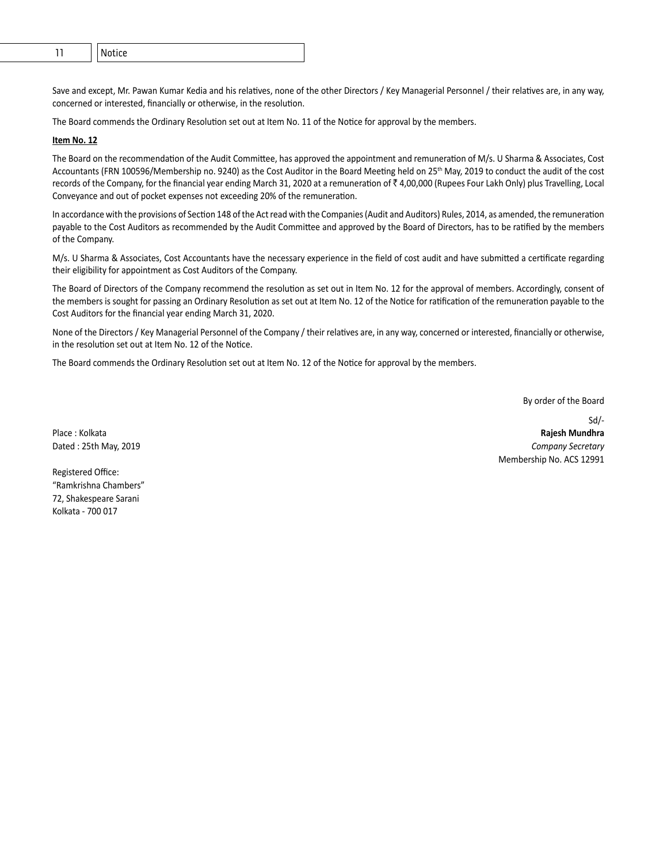Save and except, Mr. Pawan Kumar Kedia and his relatives, none of the other Directors / Key Managerial Personnel / their relatives are, in any way, concerned or interested, financially or otherwise, in the resolution.

The Board commends the Ordinary Resolution set out at Item No. 11 of the Notice for approval by the members.

#### **Item No. 12**

The Board on the recommendation of the Audit Committee, has approved the appointment and remuneration of M/s. U Sharma & Associates, Cost Accountants (FRN 100596/Membership no. 9240) as the Cost Auditor in the Board Meeting held on 25<sup>th</sup> May, 2019 to conduct the audit of the cost records of the Company, for the financial year ending March 31, 2020 at a remuneration of  $\bar{z}$  4,00,000 (Rupees Four Lakh Only) plus Travelling, Local Conveyance and out of pocket expenses not exceeding 20% of the remuneration.

In accordance with the provisions of Section 148 of the Act read with the Companies (Audit and Auditors) Rules, 2014, as amended, the remuneration payable to the Cost Auditors as recommended by the Audit Committee and approved by the Board of Directors, has to be ratified by the members of the Company.

M/s. U Sharma & Associates, Cost Accountants have the necessary experience in the field of cost audit and have submitted a certificate regarding their eligibility for appointment as Cost Auditors of the Company.

The Board of Directors of the Company recommend the resolution as set out in Item No. 12 for the approval of members. Accordingly, consent of the members is sought for passing an Ordinary Resolution as set out at Item No. 12 of the Notice for ratification of the remuneration payable to the Cost Auditors for the financial year ending March 31, 2020.

None of the Directors / Key Managerial Personnel of the Company / their relatives are, in any way, concerned or interested, financially or otherwise, in the resolution set out at Item No. 12 of the Notice.

The Board commends the Ordinary Resolution set out at Item No. 12 of the Notice for approval by the members.

By order of the Board

Sd/- Place : Kolkata **Rajesh Mundhra** Dated : 25th May, 2019 *Company Secretary* Membership No. ACS 12991

Registered Office: "Ramkrishna Chambers" 72, Shakespeare Sarani Kolkata - 700 017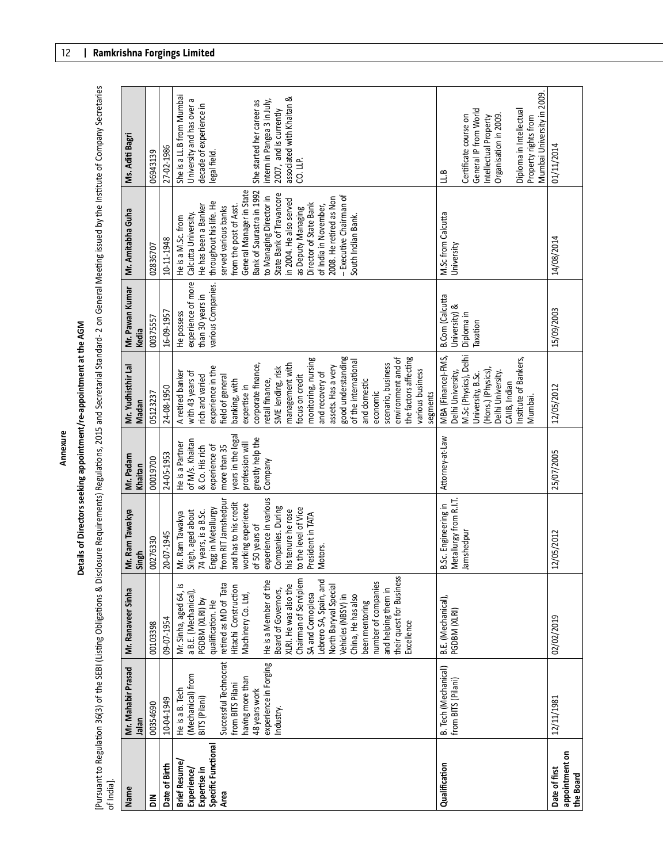**Details of Direct Applement at New AGM**<br>Pursuant to Regulation 36(3) of the SEBI (Listing Obligations & Disclosure Requirements) Regulations, 2015 and Secretarial Standard- 2 on General Meeting issued by the Institute of

| $\frac{1}{3}$                      |                                      |                                              |                                         |                                    |                                      |                                  |                                                     |                                                        |
|------------------------------------|--------------------------------------|----------------------------------------------|-----------------------------------------|------------------------------------|--------------------------------------|----------------------------------|-----------------------------------------------------|--------------------------------------------------------|
| Name                               | Mr. Mahabir Prasad                   | Mr. Ranaveer Sinha                           | Mr. Ram Tawakya                         | Mr. Padam                          | Mr. Yudhisthir Lal                   | Mr. Pawan Kumar                  | Mr. Amitabha Guha                                   | Ms. Aditi Bagri                                        |
|                                    | Jalan                                |                                              | Singh                                   | Khaitan                            | Madan                                | Kedia                            |                                                     |                                                        |
| 듦                                  | 00354690                             | 00103398                                     | 00276330                                | 00019700                           | 05123237                             | 00375557                         | 02836707                                            | 06943139                                               |
| Date of Birth                      | 10-04-1949                           | 09-07-1954                                   | 20-07-1945                              | 24-05-1953                         | 24-08-1950                           | 16-09-1957                       | 10-11-1948                                          | 27-02-1986                                             |
| <b>Brief Resume</b><br>Experience/ | (Mechanical) from<br>He is a B. Tech | Mr. Sinha, aged 64,<br>a B.E. (Mechanical)   | Singh, aged about<br>Mr. Ram Tawakya    | of M/s. Khaitan<br>He is a Partner | A retired banker<br>with 43 years of | experience of more<br>He possess | Calcutta University.<br>He is a M.Sc. from          | She is a LL.B from Mumbai<br>University and has over a |
| Expertise in                       | BITS (Pilani)                        | PGDBM (XLRI) by                              | 74 years, is a B.Sc.                    | & Co. His rich                     | rich and varied                      | than 30 years in                 | He has been a Banker                                | decade of experience in                                |
| Specific Functiona                 |                                      | qualification. He                            | Engg in Metallurgy                      | experience of                      | experience in the                    | various Companies.               | throughout his life. He                             | legal field.                                           |
| Area                               | Successful Technocrat                | retired as MD of Tata                        | from RIT Jamshedpur                     | more than 35                       | field of general                     |                                  | served various banks                                |                                                        |
|                                    | from BITS Pilani                     | Hitachi Construction                         | and has to his credit                   | years in the lega                  | banking, with                        |                                  | from the post of Asst.                              |                                                        |
|                                    | having more than                     | Machinery Co. Ltd,                           | working experience                      | profession will                    | expertise in                         |                                  | General Manager in State                            |                                                        |
|                                    | 48 years work                        |                                              | of 50 years of                          | greatly help the                   | corporate finance,                   |                                  | Bank of Saurastra in 1992                           | She started her career as                              |
|                                    | experience in Forging                | He is a Member of the                        | experience in various                   | Company                            | retail finance,                      |                                  | to Managing Director in                             | intern in Pangea 3 in July,                            |
|                                    | Industry.                            | XLRI. He was also the<br>Board of Governors, | Companies. During<br>his tenure he rose |                                    | SME lending, risk                    |                                  | State Bank of Travancore<br>in 2004. He also served | associated with Khaitan &<br>2007, and is currently    |
|                                    |                                      | Chairman of Serviplem                        | to the level of Vice                    |                                    | management with<br>focus on credit   |                                  | as Deputy Managing                                  | CO. LLP.                                               |
|                                    |                                      | SA and Comoplesa                             | President in TATA                       |                                    | monitoring, nursing                  |                                  | Director of State Bank                              |                                                        |
|                                    |                                      | Lebrero SA, Spain, and                       | Motors.                                 |                                    | and recovery of                      |                                  | of India in November,                               |                                                        |
|                                    |                                      | North Baryval Special                        |                                         |                                    | assets. Has a very                   |                                  | 2008. He retired as Non                             |                                                        |
|                                    |                                      | Vehicles (NBSV) in                           |                                         |                                    | good understanding                   |                                  | - Executive Chairman of                             |                                                        |
|                                    |                                      | China, He has also                           |                                         |                                    | of the international                 |                                  | South Indian Bank.                                  |                                                        |
|                                    |                                      | been mentoring                               |                                         |                                    | and domestic                         |                                  |                                                     |                                                        |
|                                    |                                      | number of companies                          |                                         |                                    | economic                             |                                  |                                                     |                                                        |
|                                    |                                      | and helping them in                          |                                         |                                    | scenario, business                   |                                  |                                                     |                                                        |
|                                    |                                      | their quest for Business                     |                                         |                                    | environment and of                   |                                  |                                                     |                                                        |
|                                    |                                      | Excellence                                   |                                         |                                    | the factors affecting                |                                  |                                                     |                                                        |
|                                    |                                      |                                              |                                         |                                    | various business<br>segments         |                                  |                                                     |                                                        |
| Qualification                      | B. Tech (Mechanical)                 | B.E. (Mechanical),                           | B.Sc. Engineering in                    | Attorney-at-Law                    | MBA (Finance)-FMS,                   | <b>B.Com</b> (Calcutta           | M.Sc from Calcutta                                  | 1.8                                                    |
|                                    | from BITS (Pilani)                   | PGDBM (XLRI)                                 | Metallurgy from R.I.T.                  |                                    | Delhi University,                    | University) &                    | University                                          |                                                        |
|                                    |                                      |                                              | Jamshedpur                              |                                    | M.Sc (Physics), Delhi                | Diploma in                       |                                                     | Certificate course on                                  |
|                                    |                                      |                                              |                                         |                                    | University, B.Sc.                    | Taxation                         |                                                     | General IP from World                                  |
|                                    |                                      |                                              |                                         |                                    | (Hons.) (Physics),                   |                                  |                                                     | Intellectual Property                                  |
|                                    |                                      |                                              |                                         |                                    | Delhi University.                    |                                  |                                                     | Organisation in 2009.                                  |
|                                    |                                      |                                              |                                         |                                    | CAIIB, Indian                        |                                  |                                                     |                                                        |
|                                    |                                      |                                              |                                         |                                    | Institute of Bankers,<br>Mumbai      |                                  |                                                     | Diploma in Intellectual<br>Property rights from        |
|                                    |                                      |                                              |                                         |                                    |                                      |                                  |                                                     | Mumbai University in 2009.                             |
| appointment on<br>Date of first    | 12/11/1981                           | 02/02/2019                                   | 12/05/2012                              | 25/07/2005                         | 12/05/2012                           | 15/09/2003                       | 14/08/2014                                          | 01/11/2014                                             |
| the Board                          |                                      |                                              |                                         |                                    |                                      |                                  |                                                     |                                                        |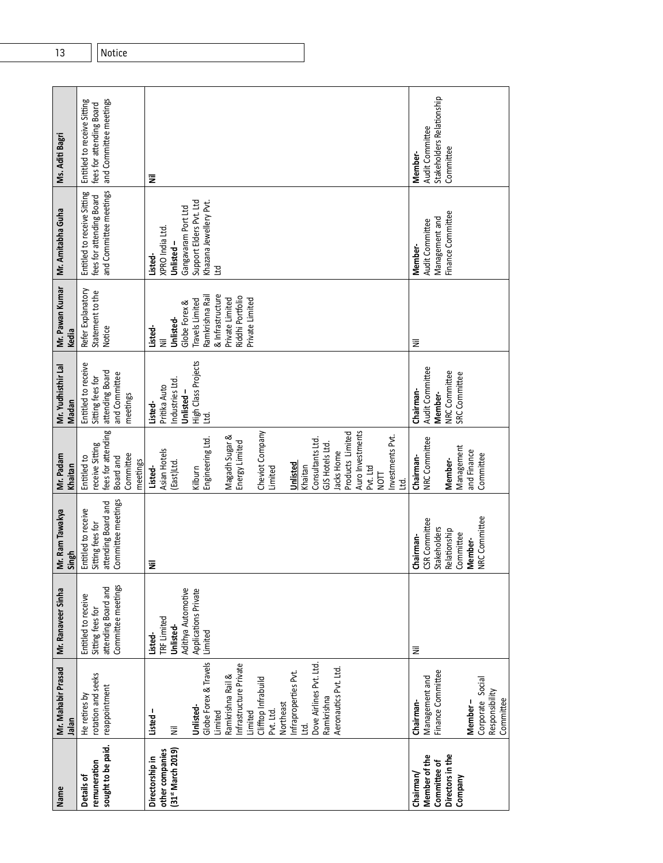| Name                                                                      | Mr. Mahabir Prasad<br>Jalan                                                                                                                                                                                                                                                     | Mr. Ranaveer Sinha                                                                           | Mr. Ram Tawakya<br>Singh                                                                                   | Mr. Padam<br>Khaitan                                                                                                                                                                                                                                                                                             | Mr. Yudhisthir Lal<br>Madan                                                             | Mr. Pawan Kumar<br>Kedia                                                                                                                                       | Mr. Amitabha Guha                                                                                                        | Ms. Aditi Bagri                                                                   |
|---------------------------------------------------------------------------|---------------------------------------------------------------------------------------------------------------------------------------------------------------------------------------------------------------------------------------------------------------------------------|----------------------------------------------------------------------------------------------|------------------------------------------------------------------------------------------------------------|------------------------------------------------------------------------------------------------------------------------------------------------------------------------------------------------------------------------------------------------------------------------------------------------------------------|-----------------------------------------------------------------------------------------|----------------------------------------------------------------------------------------------------------------------------------------------------------------|--------------------------------------------------------------------------------------------------------------------------|-----------------------------------------------------------------------------------|
| sought to be paid.<br>remuneration<br>Details of                          | rotation and seeks<br>reappointment<br>He retires by                                                                                                                                                                                                                            | Committee meetings<br>attending Board and<br>Entitled to receive<br>Sitting fees for         | Committee meetings<br>attending Board and<br>Entitled to receive<br>Sitting fees for                       | fees for attending<br>receive Sitting<br>Committee<br>Entitled to<br>Board and<br>meetings                                                                                                                                                                                                                       | Entitled to receive<br>attending Board<br>and Committee<br>Sitting fees for<br>meetings | Refer Explanatory<br>Statement to the<br>Notice                                                                                                                | and Committee meetings<br>Entitled to receive Sitting<br>fees for attending Board                                        | and Committee meetings<br>Entitled to receive Sitting<br>fees for attending Board |
| [31 <sup>st</sup> March 2019)<br>other companies<br>Directorship in       | Globe Forex & Travels<br>Dove Airlines Pvt. Ltd.<br>Infrastructure Private<br>Aeronautics Pvt. Ltd.<br>Infraproperties Pvt.<br>Ramkrishna Rail &<br>Clifftop Infrabuild<br>Ramkrishna<br>Northeast<br>Unlisted-<br>Listed-<br>Limited<br>Pvt. Ltd.<br>Limited<br><u>td</u><br>Ξ | Adithya Automotive<br>Applications Private<br>TRF Limited<br>Unlisted-<br>Limited<br>Listed- | Ξ                                                                                                          | Auro Investments<br>Cheviot Company<br>Products Limited<br>Magadh Sugar &<br>Investments Pvt.<br>Engineering Ltd<br>Consultants Ltd<br>Energy Limited<br>GJS Hotels Ltd.<br>Asian Hotels<br>Jacks Home<br>(East)Ltd<br>Unlisted<br>Khaitan<br>Pvt. Ltd<br>Listed-<br>Kilburn<br>Limited<br>Гом<br>М<br><u>td</u> | High Class Projects<br>Industries Ltd.<br>Pritika Auto<br>Unlisted-<br>Listed-<br>ਏ     | & Infrastructure<br>Ramkrishna Rail<br>Riddhi Portfolio<br>Private Limited<br>Private Limited<br>Travels Limited<br>Globe Forex &<br>Unlisted-<br>Listed-<br>Ë | Support Elders Pvt. Ltd<br>Khazana Jewellery Pvt.<br>Gangavaram Port Ltd<br>XPRO India Ltd.<br>Unlisted-<br>Listed-<br>E | Ξ                                                                                 |
| Directors in the<br>Member of the<br>Committee of<br>Chairman/<br>Company | Finance Committee<br>Management and<br>Corporate Social<br>Responsibility<br>Committee<br>Chairman-<br>Member-                                                                                                                                                                  | Ξ                                                                                            | NRC Committee<br>CSR Committee<br><b>Stakeholders</b><br>Relationship<br>Committee<br>Chairman-<br>Member- | NRC Committee<br>Management<br>and Finance<br>Committee<br>Chairman-<br>Member-                                                                                                                                                                                                                                  | Audit Committee<br>NRC Committee<br>SRC Committee<br>Chairman-<br>Member-               | Ξ                                                                                                                                                              | Finance Committee<br>Management and<br>Audit Committee<br>Member-                                                        | Stakeholders Relationship<br>Audit Committee<br>Committee<br>Member-              |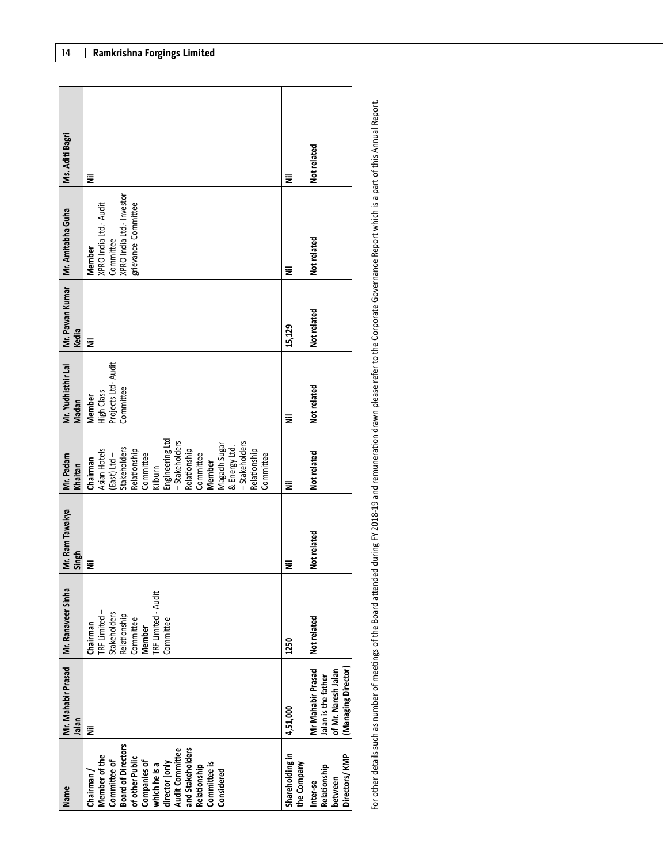| Name                                                                                                                                                                                                                        | Mr. Mahabir Prasad   Mr. Ranaveer Sinha<br>Jalan                                     |                                                                                                                            | Mr. Ram Tawakya<br>Singh | Mr. Padam<br>Khaitan                                                                                                                                                                                                                                         | Mr. Yudhisthir Lal<br>Madan                                     | Kedia       | Mr. Pawan Kumar   Mr. Amitabha Guha                                                               | Ms. Aditi Bagri |
|-----------------------------------------------------------------------------------------------------------------------------------------------------------------------------------------------------------------------------|--------------------------------------------------------------------------------------|----------------------------------------------------------------------------------------------------------------------------|--------------------------|--------------------------------------------------------------------------------------------------------------------------------------------------------------------------------------------------------------------------------------------------------------|-----------------------------------------------------------------|-------------|---------------------------------------------------------------------------------------------------|-----------------|
| Committee of<br>Board of Directors<br>Audit Committee<br>and Stakeholders<br>Member of the<br>of other Public<br>Companies of<br>which he is a<br>director [only<br>Committee is<br>Relationship<br>Considered<br>Chairman/ | Ē                                                                                    | <b>TRF Limited - Audit</b><br>TRF Limited-<br>Stakeholders<br>Relationship<br>Committee<br>Committee<br>Chairman<br>Member | Ξ                        | Engineering Ltd<br>- Stakeholders<br>- Stakeholders<br>Magadh Sugar<br>& Energy Ltd.<br>Relationship<br>Relationship<br>(East) Ltd -<br>Stakeholders<br>Relationship<br>Asian Hotels<br>Committee<br>Committee<br>Committee<br>Chairman<br>Member<br>Kilburn | Projects Ltd- Audit<br>Committee<br>High Class<br><b>Member</b> | Ξ           | XPRO India Ltd.- Investor<br>grievance Committee<br>XPRO India Ltd.- Audit<br>Committee<br>Member | Ξ               |
| Shareholding in<br>the Company                                                                                                                                                                                              | 4,51,000                                                                             | 1250                                                                                                                       | Ξ                        | Ξ                                                                                                                                                                                                                                                            | Ξ                                                               | 15,129      | Ξ                                                                                                 | Ξ               |
| Directors/KMP<br>Relationship<br>between<br>Inter-se                                                                                                                                                                        | Mr Mahabir Prasad<br>Managing Director<br>of Mr. Naresh Jalan<br>Jalan is the father | Not related                                                                                                                | Not related              | Not related                                                                                                                                                                                                                                                  | Not related                                                     | Not related | Not related                                                                                       | Not related     |

For other details such as number of meetings of the Board attended during FY 2018-19 and remuneration drawn please refer to the Corporate Governance Report which is a part of this Annual Report. For other details such as number of meetings of the Board attended during FY 2018-19 and remuneration drawn please refer to the Corporate Governance Report which is a part of this Annual Report.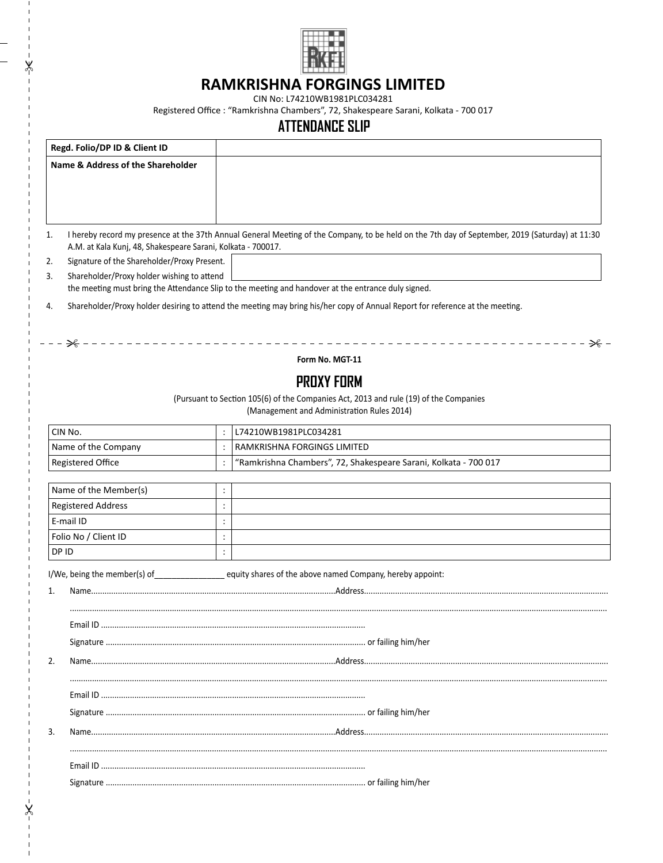

## **RAMKRISHNA FORGINGS LIMITED**

\*\*

 $\pmb{\times}$ 

CIN No: L74210WB1981PLC034281

Registered Office : "Ramkrishna Chambers", 72, Shakespeare Sarani, Kolkata - 700 017

## **ATTENDANCE SLIP**

| Regd. Folio/DP ID & Client ID                                      |                     |                                                                                                                                                 |  |  |  |
|--------------------------------------------------------------------|---------------------|-------------------------------------------------------------------------------------------------------------------------------------------------|--|--|--|
| <b>Name &amp; Address of the Shareholder</b>                       |                     |                                                                                                                                                 |  |  |  |
|                                                                    |                     |                                                                                                                                                 |  |  |  |
|                                                                    |                     |                                                                                                                                                 |  |  |  |
|                                                                    |                     |                                                                                                                                                 |  |  |  |
| 1.<br>A.M. at Kala Kunj, 48, Shakespeare Sarani, Kolkata - 700017. |                     | I hereby record my presence at the 37th Annual General Meeting of the Company, to be held on the 7th day of September, 2019 (Saturday) at 11:30 |  |  |  |
| Signature of the Shareholder/Proxy Present.<br>2.                  |                     |                                                                                                                                                 |  |  |  |
| Shareholder/Proxy holder wishing to attend<br>3.                   |                     |                                                                                                                                                 |  |  |  |
|                                                                    |                     | the meeting must bring the Attendance Slip to the meeting and handover at the entrance duly signed.                                             |  |  |  |
| 4.                                                                 |                     | Shareholder/Proxy holder desiring to attend the meeting may bring his/her copy of Annual Report for reference at the meeting.                   |  |  |  |
|                                                                    |                     |                                                                                                                                                 |  |  |  |
| ₩                                                                  |                     | _______________________<br>- ≫                                                                                                                  |  |  |  |
|                                                                    |                     | Form No. MGT-11                                                                                                                                 |  |  |  |
|                                                                    |                     | <b>PROXY FORM</b>                                                                                                                               |  |  |  |
|                                                                    |                     | (Pursuant to Section 105(6) of the Companies Act, 2013 and rule (19) of the Companies                                                           |  |  |  |
|                                                                    |                     | (Management and Administration Rules 2014)                                                                                                      |  |  |  |
| CIN No.                                                            |                     | L74210WB1981PLC034281                                                                                                                           |  |  |  |
| Name of the Company                                                | $\ddot{\cdot}$      | RAMKRISHNA FORGINGS LIMITED                                                                                                                     |  |  |  |
| Registered Office                                                  | $\ddot{\cdot}$      | "Ramkrishna Chambers", 72, Shakespeare Sarani, Kolkata - 700 017                                                                                |  |  |  |
|                                                                    |                     |                                                                                                                                                 |  |  |  |
| Name of the Member(s)<br><b>Registered Address</b>                 | :<br>$\ddot{\cdot}$ |                                                                                                                                                 |  |  |  |
| E-mail ID                                                          | $\ddot{\cdot}$      |                                                                                                                                                 |  |  |  |
| Folio No / Client ID                                               | $\ddot{\cdot}$      |                                                                                                                                                 |  |  |  |
| DP ID                                                              | $\ddot{\cdot}$      |                                                                                                                                                 |  |  |  |
|                                                                    |                     |                                                                                                                                                 |  |  |  |
|                                                                    |                     | I/We, being the member(s) of _______________________ equity shares of the above named Company, hereby appoint:                                  |  |  |  |
| 1.                                                                 |                     |                                                                                                                                                 |  |  |  |
|                                                                    |                     |                                                                                                                                                 |  |  |  |
| Fmail ID                                                           |                     |                                                                                                                                                 |  |  |  |
|                                                                    |                     |                                                                                                                                                 |  |  |  |
|                                                                    |                     |                                                                                                                                                 |  |  |  |
| 2.                                                                 |                     |                                                                                                                                                 |  |  |  |
|                                                                    |                     |                                                                                                                                                 |  |  |  |
|                                                                    |                     |                                                                                                                                                 |  |  |  |
| 3.                                                                 |                     |                                                                                                                                                 |  |  |  |
|                                                                    |                     |                                                                                                                                                 |  |  |  |
|                                                                    |                     |                                                                                                                                                 |  |  |  |
|                                                                    |                     |                                                                                                                                                 |  |  |  |
|                                                                    |                     |                                                                                                                                                 |  |  |  |